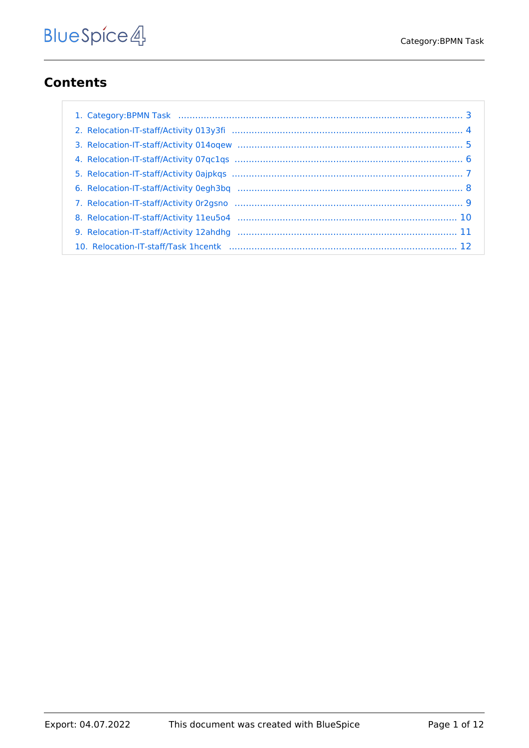# **Contents**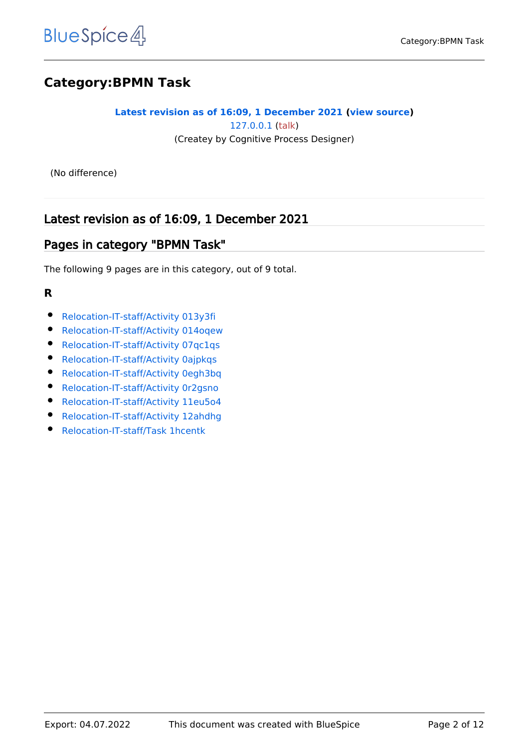# **Category:BPMN Task**

#### **[Latest revision as of 16:09, 1 December 2021](#page-2-0) [\(view source](#page-2-0))** [127.0.0.1](https://en.demo.bluespice.com/wiki/Special:Contributions/127.0.0.1) ([talk](https://en.demo.bluespice.com/w/index.php?title=User_talk:127.0.0.1&action=view)) (Createy by Cognitive Process Designer)

(No difference)

# Latest revision as of 16:09, 1 December 2021

### Pages in category "BPMN Task"

The following 9 pages are in this category, out of 9 total.

#### **R**

- [Relocation-IT-staff/Activity 013y3fi](#page-3-0)
- [Relocation-IT-staff/Activity 014oqew](#page-4-0)
- [Relocation-IT-staff/Activity 07qc1qs](#page-5-0)
- [Relocation-IT-staff/Activity 0ajpkqs](#page-6-0)
- **•** [Relocation-IT-staff/Activity 0egh3bq](#page-7-0)
- [Relocation-IT-staff/Activity 0r2gsno](#page-8-0)
- [Relocation-IT-staff/Activity 11eu5o4](#page-9-0)
- [Relocation-IT-staff/Activity 12ahdhg](#page-10-0)
- [Relocation-IT-staff/Task 1hcentk](#page-11-0)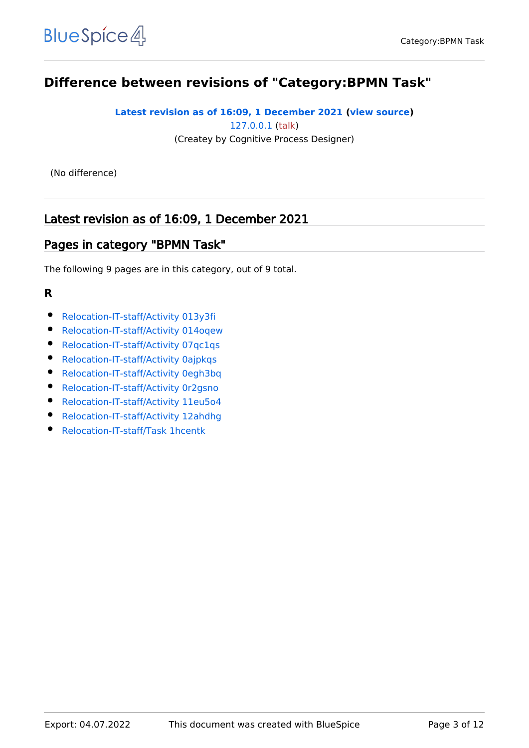# <span id="page-2-0"></span>**Difference between revisions of "Category:BPMN Task"**

#### **[Latest revision as of 16:09, 1 December 2021](#page-2-0) [\(view source](#page-2-0))** [127.0.0.1](https://en.demo.bluespice.com/wiki/Special:Contributions/127.0.0.1) ([talk](https://en.demo.bluespice.com/w/index.php?title=User_talk:127.0.0.1&action=view)) (Createy by Cognitive Process Designer)

(No difference)

# Latest revision as of 16:09, 1 December 2021

#### Pages in category "BPMN Task"

The following 9 pages are in this category, out of 9 total.

#### **R**

- [Relocation-IT-staff/Activity 013y3fi](#page-3-0)
- [Relocation-IT-staff/Activity 014oqew](#page-4-0)
- [Relocation-IT-staff/Activity 07qc1qs](#page-5-0)
- [Relocation-IT-staff/Activity 0ajpkqs](#page-6-0)
- **•** [Relocation-IT-staff/Activity 0egh3bq](#page-7-0)
- [Relocation-IT-staff/Activity 0r2gsno](#page-8-0)
- [Relocation-IT-staff/Activity 11eu5o4](#page-9-0)
- [Relocation-IT-staff/Activity 12ahdhg](#page-10-0)
- [Relocation-IT-staff/Task 1hcentk](#page-11-0)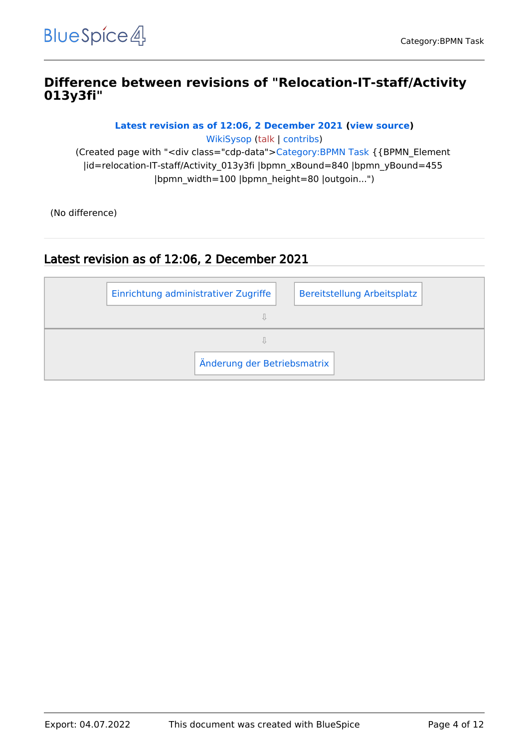### <span id="page-3-0"></span>**Difference between revisions of "Relocation-IT-staff/Activity 013y3fi"**

**[Latest revision as of 12:06, 2 December 2021](#page-3-0) [\(view source](#page-3-0))**

[WikiSysop](https://en.demo.bluespice.com/wiki/User:WikiSysop) [\(talk](https://en.demo.bluespice.com/w/index.php?title=User_talk:WikiSysop&action=view) | [contribs](https://en.demo.bluespice.com/wiki/Special:Contributions/WikiSysop)) (Created page with "<div class="cdp-data">[Category:BPMN Task](#page-2-0) {{BPMN\_Element |id=relocation-IT-staff/Activity\_013y3fi |bpmn\_xBound=840 |bpmn\_yBound=455 |bpmn\_width=100 |bpmn\_height=80 |outgoin...")

(No difference)

| Einrichtung administrativer Zugriffe |                             |  | Bereitstellung Arbeitsplatz |
|--------------------------------------|-----------------------------|--|-----------------------------|
|                                      |                             |  |                             |
|                                      |                             |  |                             |
|                                      | Änderung der Betriebsmatrix |  |                             |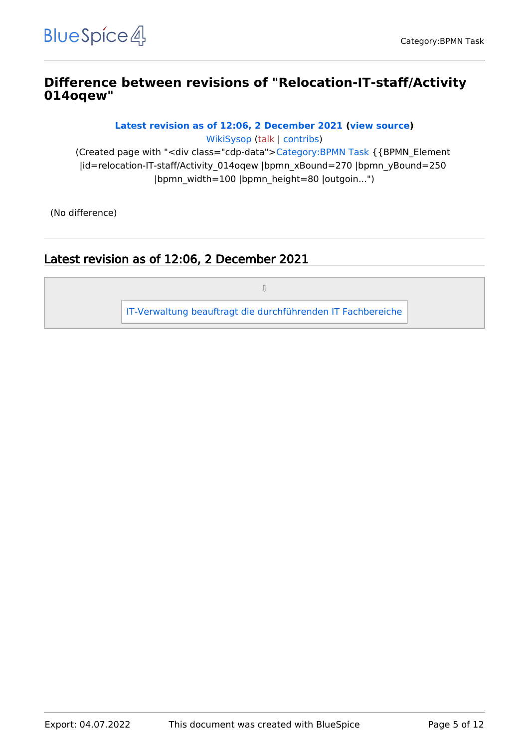#### <span id="page-4-0"></span>**Difference between revisions of "Relocation-IT-staff/Activity 014oqew"**

**[Latest revision as of 12:06, 2 December 2021](#page-4-0) [\(view source](#page-4-0))**

[WikiSysop](https://en.demo.bluespice.com/wiki/User:WikiSysop) [\(talk](https://en.demo.bluespice.com/w/index.php?title=User_talk:WikiSysop&action=view) | [contribs](https://en.demo.bluespice.com/wiki/Special:Contributions/WikiSysop)) (Created page with "<div class="cdp-data">[Category:BPMN Task](#page-2-0) {{BPMN\_Element |id=relocation-IT-staff/Activity\_014oqew |bpmn\_xBound=270 |bpmn\_yBound=250 |bpmn\_width=100 |bpmn\_height=80 |outgoin...")

(No difference)

# Latest revision as of 12:06, 2 December 2021

⇩

[IT-Verwaltung beauftragt die durchführenden IT Fachbereiche](#page-11-0)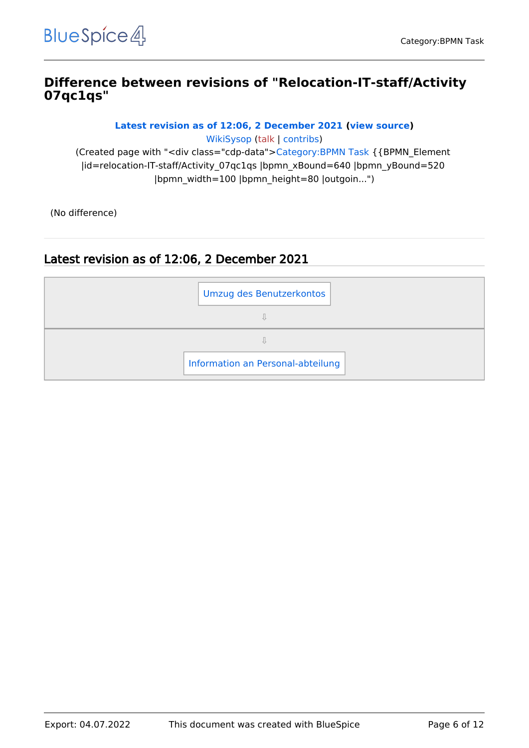### <span id="page-5-0"></span>**Difference between revisions of "Relocation-IT-staff/Activity 07qc1qs"**

**[Latest revision as of 12:06, 2 December 2021](#page-5-0) [\(view source](#page-5-0))**

[WikiSysop](https://en.demo.bluespice.com/wiki/User:WikiSysop) [\(talk](https://en.demo.bluespice.com/w/index.php?title=User_talk:WikiSysop&action=view) | [contribs](https://en.demo.bluespice.com/wiki/Special:Contributions/WikiSysop)) (Created page with "<div class="cdp-data">[Category:BPMN Task](#page-2-0) {{BPMN\_Element |id=relocation-IT-staff/Activity\_07qc1qs |bpmn\_xBound=640 |bpmn\_yBound=520 |bpmn\_width=100 |bpmn\_height=80 |outgoin...")

(No difference)

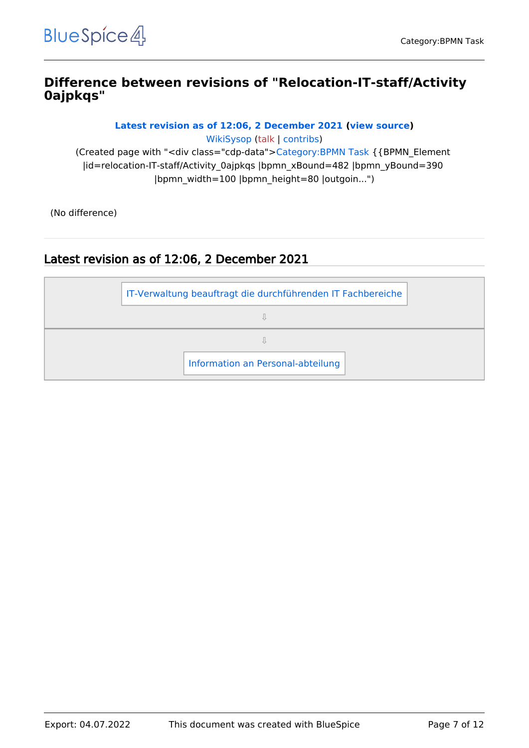### <span id="page-6-0"></span>**Difference between revisions of "Relocation-IT-staff/Activity 0ajpkqs"**

**[Latest revision as of 12:06, 2 December 2021](#page-6-0) [\(view source](#page-6-0))**

[WikiSysop](https://en.demo.bluespice.com/wiki/User:WikiSysop) [\(talk](https://en.demo.bluespice.com/w/index.php?title=User_talk:WikiSysop&action=view) | [contribs](https://en.demo.bluespice.com/wiki/Special:Contributions/WikiSysop))

(Created page with "<div class="cdp-data">[Category:BPMN Task](#page-2-0) {{BPMN\_Element |id=relocation-IT-staff/Activity\_0ajpkqs |bpmn\_xBound=482 |bpmn\_yBound=390 |bpmn\_width=100 |bpmn\_height=80 |outgoin...")

(No difference)

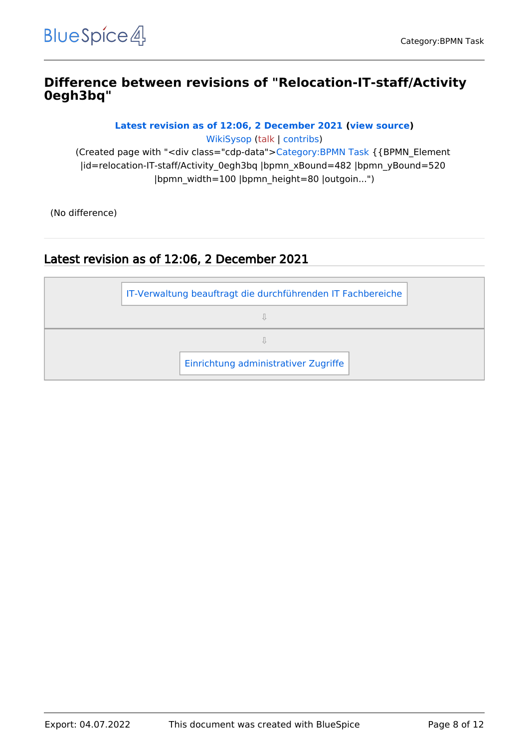### <span id="page-7-0"></span>**Difference between revisions of "Relocation-IT-staff/Activity 0egh3bq"**

**[Latest revision as of 12:06, 2 December 2021](#page-7-0) [\(view source](#page-7-0))**

[WikiSysop](https://en.demo.bluespice.com/wiki/User:WikiSysop) [\(talk](https://en.demo.bluespice.com/w/index.php?title=User_talk:WikiSysop&action=view) | [contribs](https://en.demo.bluespice.com/wiki/Special:Contributions/WikiSysop))

(Created page with "<div class="cdp-data">[Category:BPMN Task](#page-2-0) {{BPMN\_Element |id=relocation-IT-staff/Activity\_0egh3bq |bpmn\_xBound=482 |bpmn\_yBound=520 |bpmn\_width=100 |bpmn\_height=80 |outgoin...")

(No difference)

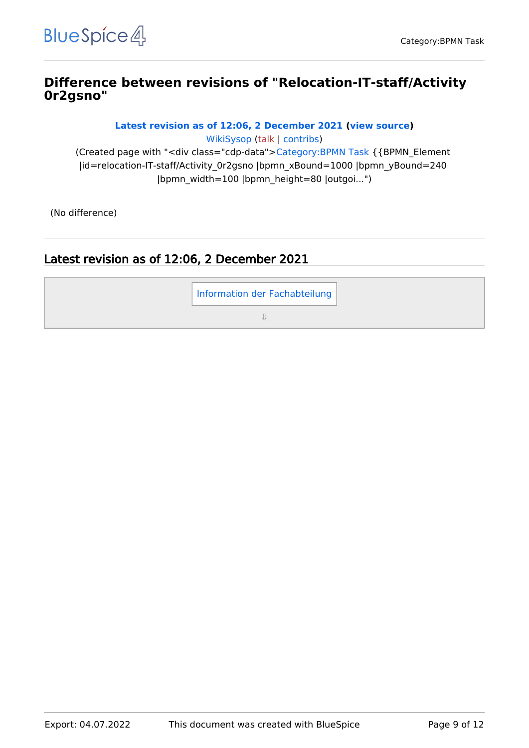### <span id="page-8-0"></span>**Difference between revisions of "Relocation-IT-staff/Activity 0r2gsno"**

**[Latest revision as of 12:06, 2 December 2021](#page-8-0) [\(view source](#page-8-0))**

[WikiSysop](https://en.demo.bluespice.com/wiki/User:WikiSysop) [\(talk](https://en.demo.bluespice.com/w/index.php?title=User_talk:WikiSysop&action=view) | [contribs](https://en.demo.bluespice.com/wiki/Special:Contributions/WikiSysop)) (Created page with "<div class="cdp-data">[Category:BPMN Task](#page-2-0) {{BPMN\_Element |id=relocation-IT-staff/Activity\_0r2gsno |bpmn\_xBound=1000 |bpmn\_yBound=240 |bpmn\_width=100 |bpmn\_height=80 |outgoi...")

(No difference)

# Latest revision as of 12:06, 2 December 2021

[Information der Fachabteilung](#page-10-0)

⇩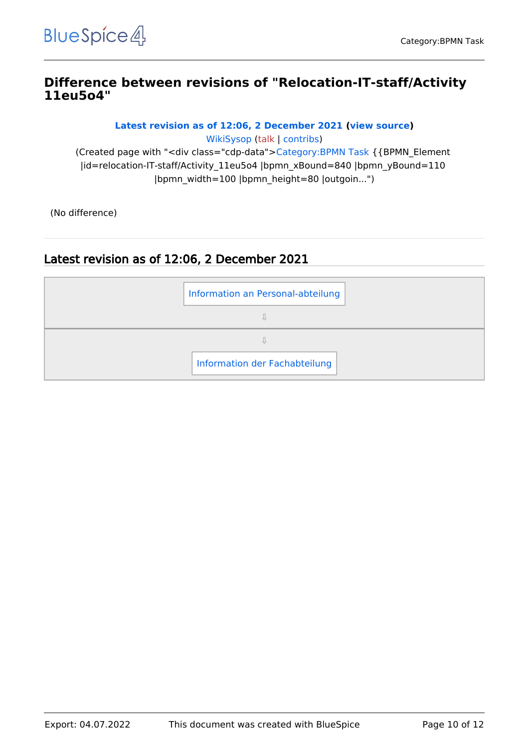#### <span id="page-9-0"></span>**Difference between revisions of "Relocation-IT-staff/Activity 11eu5o4"**

**[Latest revision as of 12:06, 2 December 2021](#page-9-0) [\(view source](#page-9-0))**

[WikiSysop](https://en.demo.bluespice.com/wiki/User:WikiSysop) [\(talk](https://en.demo.bluespice.com/w/index.php?title=User_talk:WikiSysop&action=view) | [contribs](https://en.demo.bluespice.com/wiki/Special:Contributions/WikiSysop)) (Created page with "<div class="cdp-data">[Category:BPMN Task](#page-2-0) {{BPMN\_Element |id=relocation-IT-staff/Activity\_11eu5o4 |bpmn\_xBound=840 |bpmn\_yBound=110 |bpmn\_width=100 |bpmn\_height=80 |outgoin...")

(No difference)

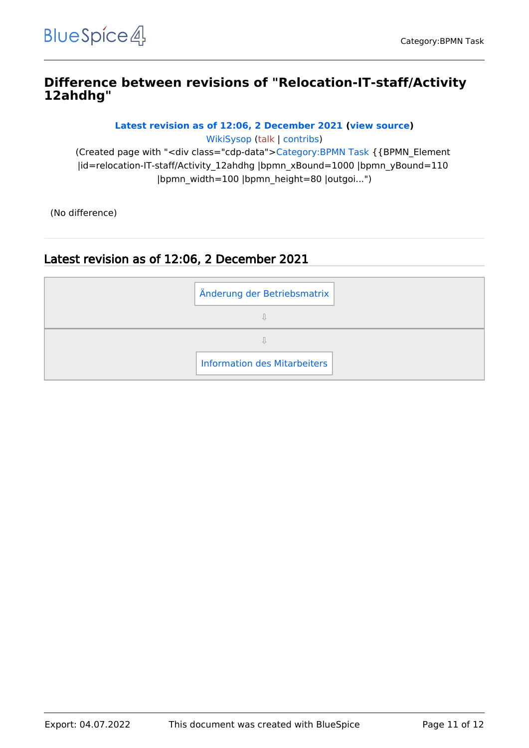### <span id="page-10-0"></span>**Difference between revisions of "Relocation-IT-staff/Activity 12ahdhg"**

**[Latest revision as of 12:06, 2 December 2021](#page-10-0) [\(view source](#page-10-0))**

[WikiSysop](https://en.demo.bluespice.com/wiki/User:WikiSysop) [\(talk](https://en.demo.bluespice.com/w/index.php?title=User_talk:WikiSysop&action=view) | [contribs](https://en.demo.bluespice.com/wiki/Special:Contributions/WikiSysop))

(Created page with "<div class="cdp-data">[Category:BPMN Task](#page-2-0) {{BPMN\_Element |id=relocation-IT-staff/Activity\_12ahdhg |bpmn\_xBound=1000 |bpmn\_yBound=110 |bpmn\_width=100 |bpmn\_height=80 |outgoi...")

(No difference)